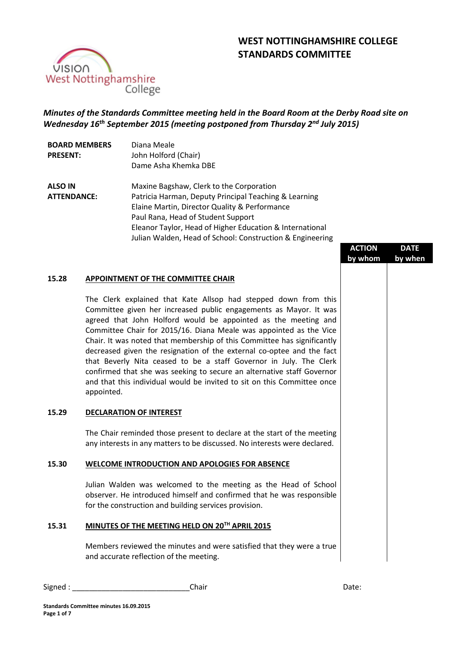# **WEST NOTTINGHAMSHIRE COLLEGE STANDARDS COMMITTEE**



# *Minutes of the Standards Committee meeting held in the Board Room at the Derby Road site on Wednesday 16 th September 2015 (meeting postponed from Thursday 2nd July 2015)*

| <b>BOARD MEMBERS</b> | Diana Meale                                               |
|----------------------|-----------------------------------------------------------|
| <b>PRESENT:</b>      | John Holford (Chair)                                      |
|                      | Dame Asha Khemka DBE                                      |
| <b>ALSO IN</b>       | Maxine Bagshaw, Clerk to the Corporation                  |
| <b>ATTENDANCE:</b>   | Patricia Harman, Deputy Principal Teaching & Learning     |
|                      | Elaine Martin, Director Quality & Performance             |
|                      | Paul Rana, Head of Student Support                        |
|                      | Eleanor Taylor, Head of Higher Education & International  |
|                      | Julian Walden, Head of School: Construction & Engineering |

| tion & Engineering                                                                                                                                                                            |                          |                        |  |
|-----------------------------------------------------------------------------------------------------------------------------------------------------------------------------------------------|--------------------------|------------------------|--|
|                                                                                                                                                                                               | <b>ACTION</b><br>by whom | <b>DATE</b><br>by when |  |
| d down from this<br>as Mayor. It was<br>the meeting and<br>ointed as the Vice<br>ee has significantly<br>optee and the fact<br>in July. The Clerk<br>tive staff Governor<br>is Committee once |                          |                        |  |
| tart of the meeting<br>sts were declared.<br><b>ENCE</b>                                                                                                                                      |                          |                        |  |
| e Head of School<br>he was responsible                                                                                                                                                        |                          |                        |  |
| at they were a true                                                                                                                                                                           |                          |                        |  |
|                                                                                                                                                                                               |                          |                        |  |

## **15.28 APPOINTMENT OF THE COMMITTEE CHAIR**

The Clerk explained that Kate Allsop had stepped Committee given her increased public engagements agreed that John Holford would be appointed as Committee Chair for 2015/16. Diana Meale was app Chair. It was noted that membership of this Committe decreased given the resignation of the external co-c that Beverly Nita ceased to be a staff Governor confirmed that she was seeking to secure an alternat and that this individual would be invited to sit on this appointed.

# **15.29 DECLARATION OF INTEREST**

The Chair reminded those present to declare at the start of the meeting of the meeting of the metal of the metal any interests in any matters to be discussed. No interest

### 15.30 **WELCOME INTRODUCTION AND APOLOGIES FOR ABS**

Julian Walden was welcomed to the meeting as the observer. He introduced himself and confirmed that I for the construction and building services provision.

# **15.31 MINUTES OF THE MEETING HELD ON 20TH APRIL 2015**

Members reviewed the minutes and were satisfied that and accurate reflection of the meeting.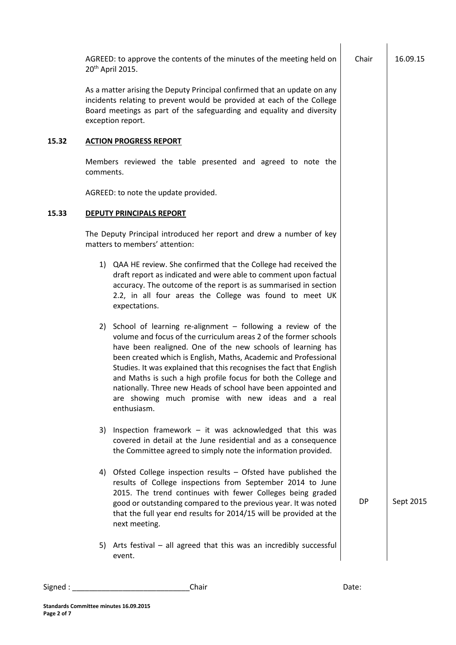|       |           | AGREED: to approve the contents of the minutes of the meeting held on<br>20 <sup>th</sup> April 2015.                                                                                                                                                                                                                                                                                                                                                                                                                                                | Chair     | 16.09.15  |
|-------|-----------|------------------------------------------------------------------------------------------------------------------------------------------------------------------------------------------------------------------------------------------------------------------------------------------------------------------------------------------------------------------------------------------------------------------------------------------------------------------------------------------------------------------------------------------------------|-----------|-----------|
|       |           | As a matter arising the Deputy Principal confirmed that an update on any<br>incidents relating to prevent would be provided at each of the College<br>Board meetings as part of the safeguarding and equality and diversity<br>exception report.                                                                                                                                                                                                                                                                                                     |           |           |
| 15.32 |           | <b>ACTION PROGRESS REPORT</b>                                                                                                                                                                                                                                                                                                                                                                                                                                                                                                                        |           |           |
|       | comments. | Members reviewed the table presented and agreed to note the                                                                                                                                                                                                                                                                                                                                                                                                                                                                                          |           |           |
|       |           | AGREED: to note the update provided.                                                                                                                                                                                                                                                                                                                                                                                                                                                                                                                 |           |           |
| 15.33 |           | <b>DEPUTY PRINCIPALS REPORT</b>                                                                                                                                                                                                                                                                                                                                                                                                                                                                                                                      |           |           |
|       |           | The Deputy Principal introduced her report and drew a number of key<br>matters to members' attention:                                                                                                                                                                                                                                                                                                                                                                                                                                                |           |           |
|       |           | 1) QAA HE review. She confirmed that the College had received the<br>draft report as indicated and were able to comment upon factual<br>accuracy. The outcome of the report is as summarised in section<br>2.2, in all four areas the College was found to meet UK<br>expectations.                                                                                                                                                                                                                                                                  |           |           |
|       | 2)        | School of learning re-alignment $-$ following a review of the<br>volume and focus of the curriculum areas 2 of the former schools<br>have been realigned. One of the new schools of learning has<br>been created which is English, Maths, Academic and Professional<br>Studies. It was explained that this recognises the fact that English<br>and Maths is such a high profile focus for both the College and<br>nationally. Three new Heads of school have been appointed and<br>are showing much promise with new ideas and a real<br>enthusiasm. |           |           |
|       | 3)        | Inspection framework $-$ it was acknowledged that this was<br>covered in detail at the June residential and as a consequence<br>the Committee agreed to simply note the information provided.                                                                                                                                                                                                                                                                                                                                                        |           |           |
|       |           | 4) Ofsted College inspection results - Ofsted have published the<br>results of College inspections from September 2014 to June<br>2015. The trend continues with fewer Colleges being graded<br>good or outstanding compared to the previous year. It was noted<br>that the full year end results for 2014/15 will be provided at the<br>next meeting.                                                                                                                                                                                               | <b>DP</b> | Sept 2015 |
|       | 5)        | Arts festival - all agreed that this was an incredibly successful<br>event.                                                                                                                                                                                                                                                                                                                                                                                                                                                                          |           |           |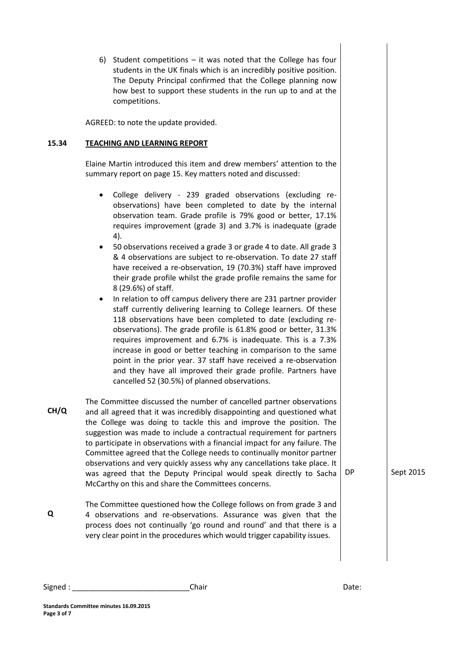6) Student competitions – it was noted that the College has four students in the UK finals which is an incredibly positive position. The Deputy Principal confirmed that the College planning now how best to support these students in the run up to and at the competitions.

AGREED: to note the update provided.

#### **15.34 TEACHING AND LEARNING REPORT**

Elaine Martin introduced this item and drew members' attention to the summary report on page 15. Key matters noted and discussed:

- College delivery 239 graded observations (excluding reobservations) have been completed to date by the internal observation team. Grade profile is 79% good or better, 17.1% requires improvement (grade 3) and 3.7% is inadequate (grade 4).
- 50 observations received a grade 3 or grade 4 to date. All grade 3 & 4 observations are subject to re-observation. To date 27 staff have received a re-observation, 19 (70.3%) staff have improved their grade profile whilst the grade profile remains the same for 8 (29.6%) of staff.
- In relation to off campus delivery there are 231 partner provider staff currently delivering learning to College learners. Of these 118 observations have been completed to date (excluding reobservations). The grade profile is 61.8% good or better, 31.3% requires improvement and 6.7% is inadequate. This is a 7.3% increase in good or better teaching in comparison to the same point in the prior year. 37 staff have received a re-observation and they have all improved their grade profile. Partners have cancelled 52 (30.5%) of planned observations.
- **CH/Q** The Committee discussed the number of cancelled partner observations and all agreed that it was incredibly disappointing and questioned what the College was doing to tackle this and improve the position. The suggestion was made to include a contractual requirement for partners to participate in observations with a financial impact for any failure. The Committee agreed that the College needs to continually monitor partner observations and very quickly assess why any cancellations take place. It was agreed that the Deputy Principal would speak directly to Sacha McCarthy on this and share the Committees concerns.

**Q**

The Committee questioned how the College follows on from grade 3 and 4 observations and re-observations. Assurance was given that the process does not continually 'go round and round' and that there is a very clear point in the procedures which would trigger capability issues.

DP Sept 2015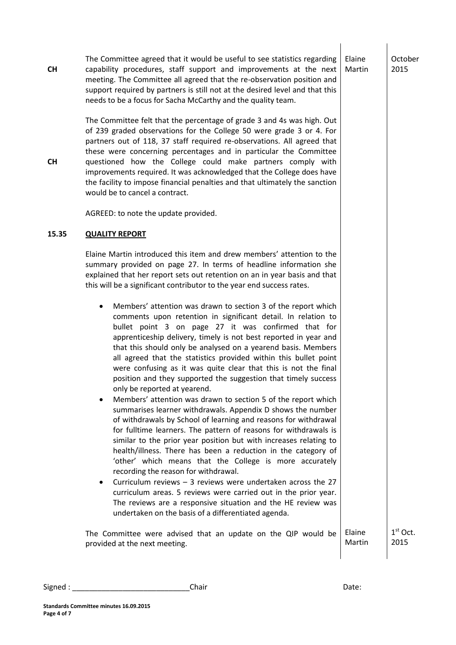**CH CH** The Committee agreed that it would be useful to see statistics regarding capability procedures, staff support and improvements at the next meeting. The Committee all agreed that the re-observation position and support required by partners is still not at the desired level and that this needs to be a focus for Sacha McCarthy and the quality team. The Committee felt that the percentage of grade 3 and 4s was high. Out of 239 graded observations for the College 50 were grade 3 or 4. For partners out of 118, 37 staff required re-observations. All agreed that these were concerning percentages and in particular the Committee questioned how the College could make partners comply with improvements required. It was acknowledged that the College does have the facility to impose financial penalties and that ultimately the sanction would be to cancel a contract. AGREED: to note the update provided. Elaine Martin October 2015 **15.35 QUALITY REPORT** Elaine Martin introduced this item and drew members' attention to the summary provided on page 27. In terms of headline information she explained that her report sets out retention on an in year basis and that this will be a significant contributor to the year end success rates. Members' attention was drawn to section 3 of the report which comments upon retention in significant detail. In relation to bullet point 3 on page 27 it was confirmed that for apprenticeship delivery, timely is not best reported in year and that this should only be analysed on a yearend basis. Members all agreed that the statistics provided within this bullet point were confusing as it was quite clear that this is not the final position and they supported the suggestion that timely success only be reported at yearend. Members' attention was drawn to section 5 of the report which summarises learner withdrawals. Appendix D shows the number of withdrawals by School of learning and reasons for withdrawal for fulltime learners. The pattern of reasons for withdrawals is similar to the prior year position but with increases relating to health/illness. There has been a reduction in the category of 'other' which means that the College is more accurately recording the reason for withdrawal. Curriculum reviews – 3 reviews were undertaken across the 27 curriculum areas. 5 reviews were carried out in the prior year. The reviews are a responsive situation and the HE review was undertaken on the basis of a differentiated agenda. The Committee were advised that an update on the QIP would be provided at the next meeting. Elaine Martin 1 st Oct. 2015

**Standards Committee minutes 16.09.2015**

**Page 4 of 7**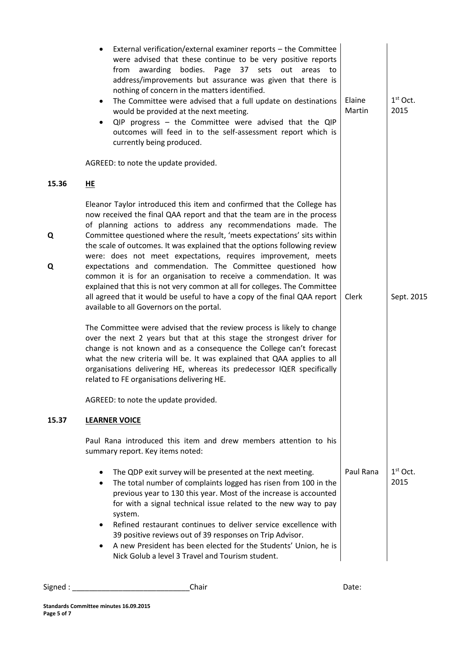| External verification/external examiner reports - the Committee<br>were advised that these continue to be very positive reports<br>Page 37 sets out areas<br>awarding<br>bodies.<br>from<br>to<br>address/improvements but assurance was given that there is<br>nothing of concern in the matters identified.<br>The Committee were advised that a full update on destinations<br>$\bullet$<br>would be provided at the next meeting.<br>QIP progress - the Committee were advised that the QIP<br>$\bullet$<br>outcomes will feed in to the self-assessment report which is<br>currently being produced. | Elaine<br>Martin                                                                                           | $1st$ Oct.<br>2015 |
|-----------------------------------------------------------------------------------------------------------------------------------------------------------------------------------------------------------------------------------------------------------------------------------------------------------------------------------------------------------------------------------------------------------------------------------------------------------------------------------------------------------------------------------------------------------------------------------------------------------|------------------------------------------------------------------------------------------------------------|--------------------|
|                                                                                                                                                                                                                                                                                                                                                                                                                                                                                                                                                                                                           |                                                                                                            |                    |
| Eleanor Taylor introduced this item and confirmed that the College has<br>now received the final QAA report and that the team are in the process                                                                                                                                                                                                                                                                                                                                                                                                                                                          |                                                                                                            |                    |
| Committee questioned where the result, 'meets expectations' sits within<br>the scale of outcomes. It was explained that the options following review<br>were: does not meet expectations, requires improvement, meets                                                                                                                                                                                                                                                                                                                                                                                     |                                                                                                            |                    |
| expectations and commendation. The Committee questioned how<br>common it is for an organisation to receive a commendation. It was<br>explained that this is not very common at all for colleges. The Committee<br>all agreed that it would be useful to have a copy of the final QAA report<br>available to all Governors on the portal.                                                                                                                                                                                                                                                                  | Clerk                                                                                                      | Sept. 2015         |
| The Committee were advised that the review process is likely to change<br>over the next 2 years but that at this stage the strongest driver for<br>change is not known and as a consequence the College can't forecast<br>what the new criteria will be. It was explained that QAA applies to all<br>organisations delivering HE, whereas its predecessor IQER specifically<br>related to FE organisations delivering HE.                                                                                                                                                                                 |                                                                                                            |                    |
| AGREED: to note the update provided.                                                                                                                                                                                                                                                                                                                                                                                                                                                                                                                                                                      |                                                                                                            |                    |
| <b>LEARNER VOICE</b>                                                                                                                                                                                                                                                                                                                                                                                                                                                                                                                                                                                      |                                                                                                            |                    |
| Paul Rana introduced this item and drew members attention to his<br>summary report. Key items noted:                                                                                                                                                                                                                                                                                                                                                                                                                                                                                                      |                                                                                                            |                    |
| The QDP exit survey will be presented at the next meeting.<br>٠<br>The total number of complaints logged has risen from 100 in the<br>٠<br>previous year to 130 this year. Most of the increase is accounted<br>for with a signal technical issue related to the new way to pay<br>system.<br>Refined restaurant continues to deliver service excellence with<br>39 positive reviews out of 39 responses on Trip Advisor.<br>A new President has been elected for the Students' Union, he is<br>Nick Golub a level 3 Travel and Tourism student.                                                          | Paul Rana                                                                                                  | $1st$ Oct.<br>2015 |
|                                                                                                                                                                                                                                                                                                                                                                                                                                                                                                                                                                                                           | AGREED: to note the update provided.<br>HE<br>of planning actions to address any recommendations made. The |                    |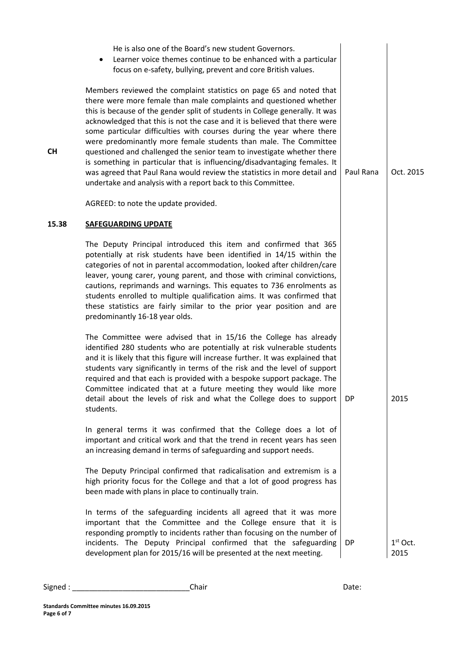|           | He is also one of the Board's new student Governors.<br>Learner voice themes continue to be enhanced with a particular<br>focus on e-safety, bullying, prevent and core British values.                                                                                                                                                                                                                                                                                                                                                                                                                                                                                                                                                                |           |                    |
|-----------|--------------------------------------------------------------------------------------------------------------------------------------------------------------------------------------------------------------------------------------------------------------------------------------------------------------------------------------------------------------------------------------------------------------------------------------------------------------------------------------------------------------------------------------------------------------------------------------------------------------------------------------------------------------------------------------------------------------------------------------------------------|-----------|--------------------|
| <b>CH</b> | Members reviewed the complaint statistics on page 65 and noted that<br>there were more female than male complaints and questioned whether<br>this is because of the gender split of students in College generally. It was<br>acknowledged that this is not the case and it is believed that there were<br>some particular difficulties with courses during the year where there<br>were predominantly more female students than male. The Committee<br>questioned and challenged the senior team to investigate whether there<br>is something in particular that is influencing/disadvantaging females. It<br>was agreed that Paul Rana would review the statistics in more detail and<br>undertake and analysis with a report back to this Committee. | Paul Rana | Oct. 2015          |
|           | AGREED: to note the update provided.                                                                                                                                                                                                                                                                                                                                                                                                                                                                                                                                                                                                                                                                                                                   |           |                    |
| 15.38     | <b>SAFEGUARDING UPDATE</b>                                                                                                                                                                                                                                                                                                                                                                                                                                                                                                                                                                                                                                                                                                                             |           |                    |
|           | The Deputy Principal introduced this item and confirmed that 365<br>potentially at risk students have been identified in 14/15 within the<br>categories of not in parental accommodation, looked after children/care<br>leaver, young carer, young parent, and those with criminal convictions,<br>cautions, reprimands and warnings. This equates to 736 enrolments as<br>students enrolled to multiple qualification aims. It was confirmed that<br>these statistics are fairly similar to the prior year position and are<br>predominantly 16-18 year olds.                                                                                                                                                                                         |           |                    |
|           | The Committee were advised that in 15/16 the College has already<br>identified 280 students who are potentially at risk vulnerable students<br>and it is likely that this figure will increase further. It was explained that<br>students vary significantly in terms of the risk and the level of support<br>required and that each is provided with a bespoke support package. The<br>Committee indicated that at a future meeting they would like more<br>detail about the levels of risk and what the College does to support<br>students.                                                                                                                                                                                                         | DP        | 2015               |
|           | In general terms it was confirmed that the College does a lot of<br>important and critical work and that the trend in recent years has seen<br>an increasing demand in terms of safeguarding and support needs.                                                                                                                                                                                                                                                                                                                                                                                                                                                                                                                                        |           |                    |
|           | The Deputy Principal confirmed that radicalisation and extremism is a<br>high priority focus for the College and that a lot of good progress has<br>been made with plans in place to continually train.                                                                                                                                                                                                                                                                                                                                                                                                                                                                                                                                                |           |                    |
|           | In terms of the safeguarding incidents all agreed that it was more<br>important that the Committee and the College ensure that it is<br>responding promptly to incidents rather than focusing on the number of<br>incidents. The Deputy Principal confirmed that the safeguarding<br>development plan for 2015/16 will be presented at the next meeting.                                                                                                                                                                                                                                                                                                                                                                                               | DP        | $1st$ Oct.<br>2015 |